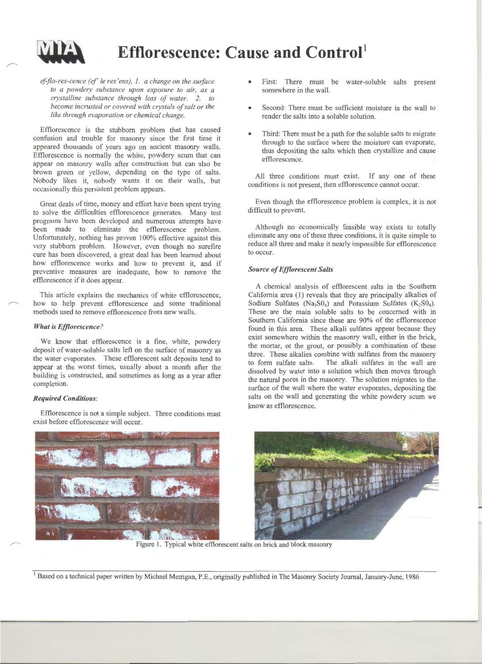

# **Efflorescence: Cause and Control<sup>1</sup>**

# *ef-jlo-res-cence (ef' le res 'ens), 1. a change on the surface to a powdery substance upon exposure to air, as a crystalline substance through loss of water. 2. to become incrusted or covered with crystals of salt or the like through evaporation or chemical change.*

Efflorescence is the stubborn problem that has caused confusion and trouble for masonry since the first time it appeared thousands of years ago on ancient masonry walls. Efflorescence is normally the white, powdery scum that can appear on masonry walls after construction but can also be brown green or yellow, depending on the type of salts. Nobody likes it, nobody wants it on their walls, but occasionally this persistent problem appears.

Great deals of time, money and effort have been spent trying to solve the difficulties efflorescence generates. Many test programs have been developed and numerous attempts have been made to eliminate the efflorescence problem. Unfortunately, nothing has proven 100% effective against this very stubborn problem. However, even though no surefire cure has been discovered, a great deal has been learned about how efflorescence works and how to prevent it, and if preventive measures are inadequate, how to remove the efflorescence if it does appear.

This article explains the mechanics of white efflorescence, how to help prevent efflorescence and some traditional methods used to remove efflorescence from new walls.

#### *What is Efflorescence?*

We know that efflorescence is a fine, white, powdery deposit of water-soluble salts left on the surface of masonry as the water evaporates. These efflorescent salt deposits tend to appear at the worst times, usually about a month after the building is constructed, and sometimes as long as a year after completion.

#### *Required Conditions:*

Efflorescence is not a simple subject. Three conditions must exist before efflorescence will occur.

- First: There must be water-soluble salts present somewhere in the wall.
- Second: There must be sufficient moisture in the wall to render the salts into a soluble solution.
- Third: There must be a path for the soluble salts to migrate through to the surface where the moisture can evaporate, thus depositing the salts which then crystallize and cause efflorescence.

All three conditions must exist. If any one of these conditions is not present, then efflorescence cannot occur.

Even though the efflorescence problem is complex, it is not difficult to prevent.

Although no economically feasible way exists to totally eliminate any one of these three conditions, it is quite simple to reduce all three and make it nearly impossible for efflorescence to occur.

## *Source of Efflorescent Salts*

A chemical analysis of efflorescent salts in the Southern California area (1) reveals that they are principally alkalies of Sodium Sulfates (Na<sub>3</sub>S0<sub>4</sub>) and Potassium Sulfates (K<sub>2</sub>S0<sub>4</sub>). These are the main soluble salts to be concerned with in Southern California since these are 90% of the efflorescence found in this area. These alkali sulfates appear because they exist somewhere within the masonry wall, either in the brick, the mortar, or the grout, or possibly a combination of these three. These alkalies combine with sulfates from the masonry to form sulfate salts. The alkali sulfates in the wall are dissolved by water into a solution which then moves through the natural pores in the masonry. The solution migrates to the surface of the wall where the water evaporates, depositing the salts on the wall and generating the white powdery scum we know as efflorescence.



Figure 1. Typical white efflorescent salts on brick and block masonry

<sup>1</sup> Based on a technical paper written by Michael Merrigan, P.E., originally published in The Masonry Society Journal, January-June, 1986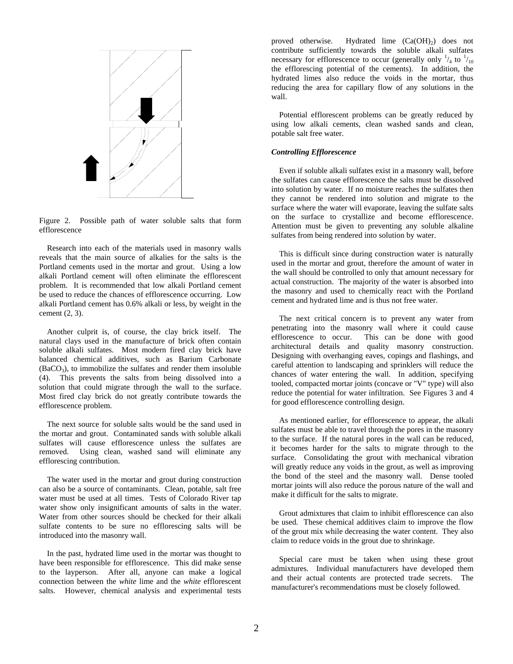

Figure 2. Possible path of water soluble salts that form efflorescence

Research into each of the materials used in masonry walls reveals that the main source of alkalies for the salts is the Portland cements used in the mortar and grout. Using a low alkali Portland cement will often eliminate the efflorescent problem. It is recommended that low alkali Portland cement be used to reduce the chances of efflorescence occurring. Low alkali Portland cement has 0.6% alkali or less, by weight in the cement (2, 3).

Another culprit is, of course, the clay brick itself. The natural clays used in the manufacture of brick often contain soluble alkali sulfates. Most modern fired clay brick have balanced chemical additives, such as Barium Carbonate  $(BaCO<sub>3</sub>)$ , to immobilize the sulfates and render them insoluble (4). This prevents the salts from being dissolved into a solution that could migrate through the wall to the surface. Most fired clay brick do not greatly contribute towards the efflorescence problem.

The next source for soluble salts would be the sand used in the mortar and grout. Contaminated sands with soluble alkali sulfates will cause efflorescence unless the sulfates are removed. Using clean, washed sand will eliminate any efflorescing contribution.

The water used in the mortar and grout during construction can also be a source of contaminants. Clean, potable, salt free water must be used at all times. Tests of Colorado River tap water show only insignificant amounts of salts in the water. Water from other sources should be checked for their alkali sulfate contents to be sure no efflorescing salts will be introduced into the masonry wall.

In the past, hydrated lime used in the mortar was thought to have been responsible for efflorescence. This did make sense to the layperson. After all, anyone can make a logical connection between the *white* lime and the *white* efflorescent salts. However, chemical analysis and experimental tests proved otherwise. Hydrated lime  $(Ca(OH)_2)$  does not contribute sufficiently towards the soluble alkali sulfates necessary for efflorescence to occur (generally only  $\frac{1}{4}$  to  $\frac{1}{10}$ the efflorescing potential of the cements). In addition, the hydrated limes also reduce the voids in the mortar, thus reducing the area for capillary flow of any solutions in the wall.

Potential efflorescent problems can be greatly reduced by using low alkali cements, clean washed sands and clean, potable salt free water.

## *Controlling Efflorescence*

Even if soluble alkali sulfates exist in a masonry wall, before the sulfates can cause efflorescence the salts must be dissolved into solution by water. If no moisture reaches the sulfates then they cannot be rendered into solution and migrate to the surface where the water will evaporate, leaving the sulfate salts on the surface to crystallize and become efflorescence. Attention must be given to preventing any soluble alkaline sulfates from being rendered into solution by water.

This is difficult since during construction water is naturally used in the mortar and grout, therefore the amount of water in the wall should be controlled to only that amount necessary for actual construction. The majority of the water is absorbed into the masonry and used to chemically react with the Portland cement and hydrated lime and is thus not free water.

The next critical concern is to prevent any water from penetrating into the masonry wall where it could cause efflorescence to occur. This can be done with good architectural details and quality masonry construction. Designing with overhanging eaves, copings and flashings, and careful attention to landscaping and sprinklers will reduce the chances of water entering the wall. In addition, specifying tooled, compacted mortar joints (concave or "V" type) will also reduce the potential for water infiltration. See Figures 3 and 4 for good efflorescence controlling design.

As mentioned earlier, for efflorescence to appear, the alkali sulfates must be able to travel through the pores in the masonry to the surface. If the natural pores in the wall can be reduced, it becomes harder for the salts to migrate through to the surface. Consolidating the grout with mechanical vibration will greatly reduce any voids in the grout, as well as improving the bond of the steel and the masonry wall. Dense tooled mortar joints will also reduce the porous nature of the wall and make it difficult for the salts to migrate.

Grout admixtures that claim to inhibit efflorescence can also be used. These chemical additives claim to improve the flow of the grout mix while decreasing the water content. They also claim to reduce voids in the grout due to shrinkage.

Special care must be taken when using these grout admixtures. Individual manufacturers have developed them and their actual contents are protected trade secrets. The manufacturer's recommendations must be closely followed.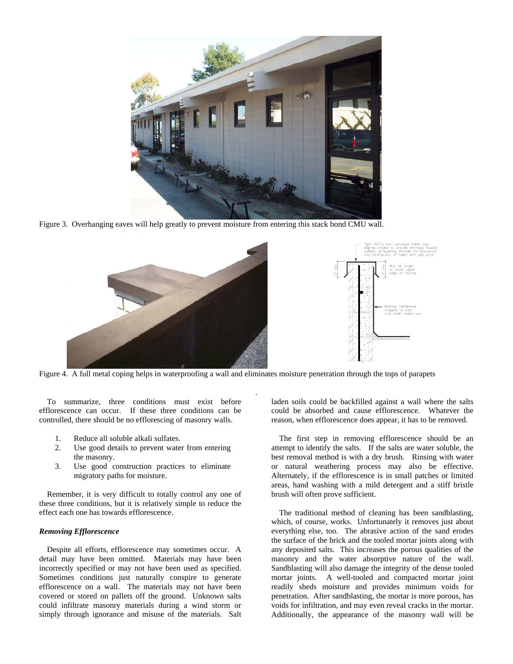

Figure 3. Overhanging eaves will help greatly to prevent moisture from entering this stack bond CMU wall.



Figure 4. A full metal coping helps in waterproofing a wall and eliminates moisture penetration through the tops of parapets

.

To summarize, three conditions must exist before efflorescence can occur. If these three conditions can be controlled, there should be no efflorescing of masonry walls.

- 1. Reduce all soluble alkali sulfates.
- 2. Use good details to prevent water from entering the masonry.
- 3. Use good construction practices to eliminate migratory paths for moisture.

Remember, it is very difficult to totally control any one of these three conditions, but it is relatively simple to reduce the effect each one has towards efflorescence.

#### *Removing Efflorescence*

Despite all efforts, efflorescence may sometimes occur. A detail may have been omitted. Materials may have been incorrectly specified or may not have been used as specified. Sometimes conditions just naturally conspire to generate efflorescence on a wall. The materials may not have been covered or stored on pallets off the ground. Unknown salts could infiltrate masonry materials during a wind storm or simply through ignorance and misuse of the materials. Salt

laden soils could be backfilled against a wall where the salts could be absorbed and cause efflorescence. Whatever the reason, when efflorescence does appear, it has to be removed.

The first step in removing efflorescence should be an attempt to identify the salts. If the salts are water soluble, the best removal method is with a dry brush. Rinsing with water or natural weathering process may also be effective. Alternately, if the efflorescence is in small patches or limited areas, hand washing with a mild detergent and a stiff bristle brush will often prove sufficient.

The traditional method of cleaning has been sandblasting, which, of course, works. Unfortunately it removes just about everything else, too. The abrasive action of the sand erodes the surface of the brick and the tooled mortar joints along with any deposited salts. This increases the porous qualities of the masonry and the water absorptive nature of the wall. Sandblasting will also damage the integrity of the dense tooled mortar joints. A well-tooled and compacted mortar joint readily sheds moisture and provides minimum voids for penetration. After sandblasting, the mortar is more porous, has voids for infiltration, and may even reveal cracks in the mortar. Additionally, the appearance of the masonry wall will be